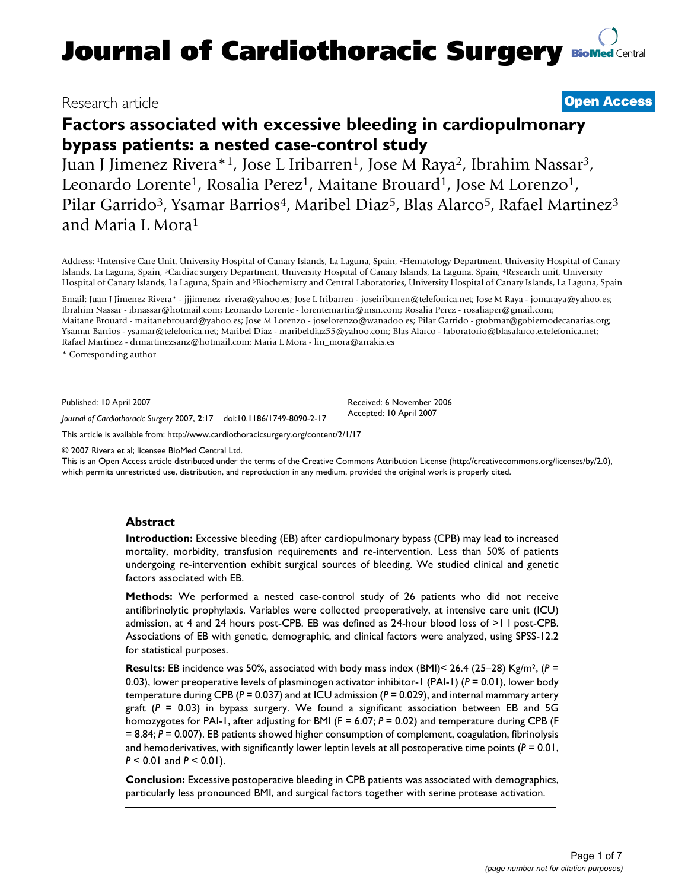# Research article **[Open Access](http://www.biomedcentral.com/info/about/charter/)**

# **Factors associated with excessive bleeding in cardiopulmonary bypass patients: a nested case-control study**

Juan J Jimenez Rivera\*<sup>1</sup>, Jose L Iribarren<sup>1</sup>, Jose M Raya<sup>2</sup>, Ibrahim Nassar<sup>3</sup>, Leonardo Lorente<sup>1</sup>, Rosalia Perez<sup>1</sup>, Maitane Brouard<sup>1</sup>, Jose M Lorenzo<sup>1</sup>, Pilar Garrido<sup>3</sup>, Ysamar Barrios<sup>4</sup>, Maribel Diaz<sup>5</sup>, Blas Alarco<sup>5</sup>, Rafael Martinez<sup>3</sup> and Maria L Mora1

Address: 1Intensive Care Unit, University Hospital of Canary Islands, La Laguna, Spain, 2Hematology Department, University Hospital of Canary Islands, La Laguna, Spain, 3Cardiac surgery Department, University Hospital of Canary Islands, La Laguna, Spain, 4Research unit, University Hospital of Canary Islands, La Laguna, Spain and 5Biochemistry and Central Laboratories, University Hospital of Canary Islands, La Laguna, Spain

Email: Juan J Jimenez Rivera\* - jjjimenez\_rivera@yahoo.es; Jose L Iribarren - joseiribarren@telefonica.net; Jose M Raya - jomaraya@yahoo.es; Ibrahim Nassar - ibnassar@hotmail.com; Leonardo Lorente - lorentemartin@msn.com; Rosalia Perez - rosaliaper@gmail.com; Maitane Brouard - maitanebrouard@yahoo.es; Jose M Lorenzo - joselorenzo@wanadoo.es; Pilar Garrido - gtobmar@gobiernodecanarias.org; Ysamar Barrios - ysamar@telefonica.net; Maribel Diaz - maribeldiaz55@yahoo.com; Blas Alarco - laboratorio@blasalarco.e.telefonica.net; Rafael Martinez - drmartinezsanz@hotmail.com; Maria L Mora - lin\_mora@arrakis.es

\* Corresponding author

Published: 10 April 2007

Received: 6 November 2006 Accepted: 10 April 2007

[This article is available from: http://www.cardiothoracicsurgery.org/content/2/1/17](http://www.cardiothoracicsurgery.org/content/2/1/17)

*Journal of Cardiothoracic Surgery* 2007, **2**:17 doi:10.1186/1749-8090-2-17

© 2007 Rivera et al; licensee BioMed Central Ltd.

This is an Open Access article distributed under the terms of the Creative Commons Attribution License [\(http://creativecommons.org/licenses/by/2.0\)](http://creativecommons.org/licenses/by/2.0), which permits unrestricted use, distribution, and reproduction in any medium, provided the original work is properly cited.

#### **Abstract**

**Introduction:** Excessive bleeding (EB) after cardiopulmonary bypass (CPB) may lead to increased mortality, morbidity, transfusion requirements and re-intervention. Less than 50% of patients undergoing re-intervention exhibit surgical sources of bleeding. We studied clinical and genetic factors associated with EB.

**Methods:** We performed a nested case-control study of 26 patients who did not receive antifibrinolytic prophylaxis. Variables were collected preoperatively, at intensive care unit (ICU) admission, at 4 and 24 hours post-CPB. EB was defined as 24-hour blood loss of >1 l post-CPB. Associations of EB with genetic, demographic, and clinical factors were analyzed, using SPSS-12.2 for statistical purposes.

**Results:** EB incidence was 50%, associated with body mass index (BMI)< 26.4 (25–28) Kg/m2, (*P* = 0.03), lower preoperative levels of plasminogen activator inhibitor-1 (PAI-1) (*P* = 0.01), lower body temperature during CPB (*P* = 0.037) and at ICU admission (*P* = 0.029), and internal mammary artery graft (*P* = 0.03) in bypass surgery. We found a significant association between EB and 5G homozygotes for PAI-1, after adjusting for BMI (F = 6.07;  $P = 0.02$ ) and temperature during CPB (F = 8.84; *P* = 0.007). EB patients showed higher consumption of complement, coagulation, fibrinolysis and hemoderivatives, with significantly lower leptin levels at all postoperative time points (*P* = 0.01, *P* < 0.01 and *P* < 0.01).

**Conclusion:** Excessive postoperative bleeding in CPB patients was associated with demographics, particularly less pronounced BMI, and surgical factors together with serine protease activation.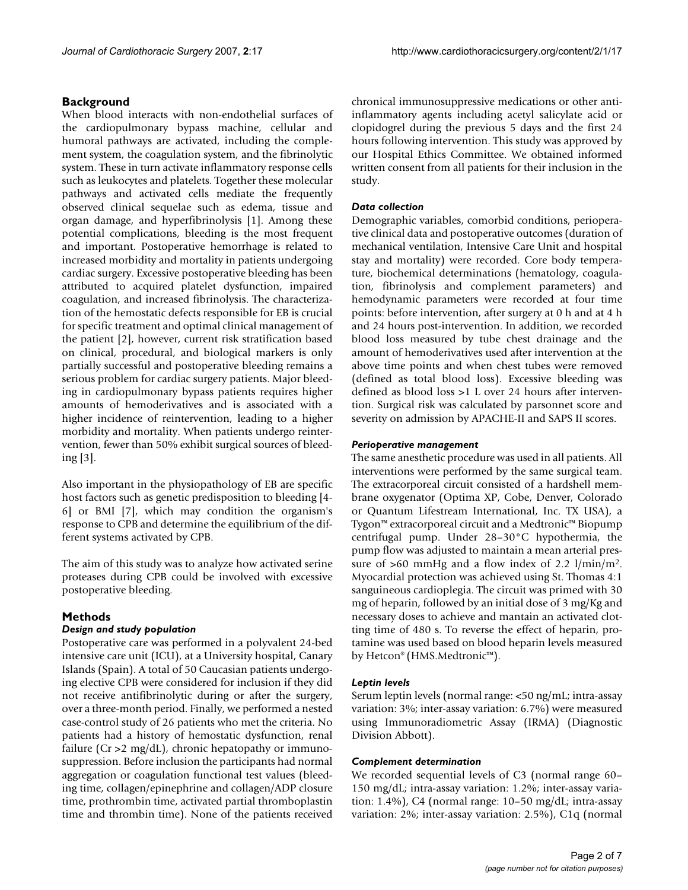# **Background**

When blood interacts with non-endothelial surfaces of the cardiopulmonary bypass machine, cellular and humoral pathways are activated, including the complement system, the coagulation system, and the fibrinolytic system. These in turn activate inflammatory response cells such as leukocytes and platelets. Together these molecular pathways and activated cells mediate the frequently observed clinical sequelae such as edema, tissue and organ damage, and hyperfibrinolysis [1]. Among these potential complications, bleeding is the most frequent and important. Postoperative hemorrhage is related to increased morbidity and mortality in patients undergoing cardiac surgery. Excessive postoperative bleeding has been attributed to acquired platelet dysfunction, impaired coagulation, and increased fibrinolysis. The characterization of the hemostatic defects responsible for EB is crucial for specific treatment and optimal clinical management of the patient [2], however, current risk stratification based on clinical, procedural, and biological markers is only partially successful and postoperative bleeding remains a serious problem for cardiac surgery patients. Major bleeding in cardiopulmonary bypass patients requires higher amounts of hemoderivatives and is associated with a higher incidence of reintervention, leading to a higher morbidity and mortality. When patients undergo reintervention, fewer than 50% exhibit surgical sources of bleeding [3].

Also important in the physiopathology of EB are specific host factors such as genetic predisposition to bleeding [4- 6] or BMI [7], which may condition the organism's response to CPB and determine the equilibrium of the different systems activated by CPB.

The aim of this study was to analyze how activated serine proteases during CPB could be involved with excessive postoperative bleeding.

# **Methods**

#### *Design and study population*

Postoperative care was performed in a polyvalent 24-bed intensive care unit (ICU), at a University hospital, Canary Islands (Spain). A total of 50 Caucasian patients undergoing elective CPB were considered for inclusion if they did not receive antifibrinolytic during or after the surgery, over a three-month period. Finally, we performed a nested case-control study of 26 patients who met the criteria. No patients had a history of hemostatic dysfunction, renal failure ( $Cr > 2$  mg/dL), chronic hepatopathy or immunosuppression. Before inclusion the participants had normal aggregation or coagulation functional test values (bleeding time, collagen/epinephrine and collagen/ADP closure time, prothrombin time, activated partial thromboplastin time and thrombin time). None of the patients received chronical immunosuppressive medications or other antiinflammatory agents including acetyl salicylate acid or clopidogrel during the previous 5 days and the first 24 hours following intervention. This study was approved by our Hospital Ethics Committee. We obtained informed written consent from all patients for their inclusion in the study.

# *Data collection*

Demographic variables, comorbid conditions, perioperative clinical data and postoperative outcomes (duration of mechanical ventilation, Intensive Care Unit and hospital stay and mortality) were recorded. Core body temperature, biochemical determinations (hematology, coagulation, fibrinolysis and complement parameters) and hemodynamic parameters were recorded at four time points: before intervention, after surgery at 0 h and at 4 h and 24 hours post-intervention. In addition, we recorded blood loss measured by tube chest drainage and the amount of hemoderivatives used after intervention at the above time points and when chest tubes were removed (defined as total blood loss). Excessive bleeding was defined as blood loss >1 L over 24 hours after intervention. Surgical risk was calculated by parsonnet score and severity on admission by APACHE-II and SAPS II scores.

## *Perioperative management*

The same anesthetic procedure was used in all patients. All interventions were performed by the same surgical team. The extracorporeal circuit consisted of a hardshell membrane oxygenator (Optima XP, Cobe, Denver, Colorado or Quantum Lifestream International, Inc. TX USA), a Tygon™ extracorporeal circuit and a Medtronic™ Biopump centrifugal pump. Under 28–30°C hypothermia, the pump flow was adjusted to maintain a mean arterial pressure of  $>60$  mmHg and a flow index of 2.2 l/min/m<sup>2</sup>. Myocardial protection was achieved using St. Thomas 4:1 sanguineous cardioplegia. The circuit was primed with 30 mg of heparin, followed by an initial dose of 3 mg/Kg and necessary doses to achieve and mantain an activated clotting time of 480 s. To reverse the effect of heparin, protamine was used based on blood heparin levels measured by Hetcon® (HMS.Medtronic™).

#### *Leptin levels*

Serum leptin levels (normal range: <50 ng/mL; intra-assay variation: 3%; inter-assay variation: 6.7%) were measured using Immunoradiometric Assay (IRMA) (Diagnostic Division Abbott).

# *Complement determination*

We recorded sequential levels of C3 (normal range 60– 150 mg/dL; intra-assay variation: 1.2%; inter-assay variation: 1.4%), C4 (normal range: 10–50 mg/dL; intra-assay variation: 2%; inter-assay variation: 2.5%), C1q (normal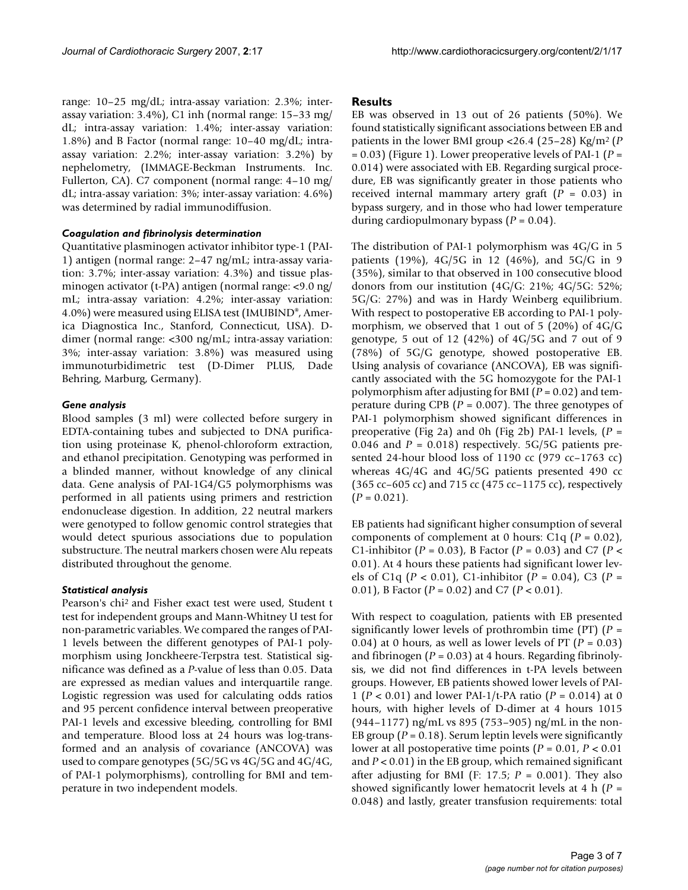range: 10–25 mg/dL; intra-assay variation: 2.3%; interassay variation: 3.4%), C1 inh (normal range: 15–33 mg/ dL; intra-assay variation: 1.4%; inter-assay variation: 1.8%) and B Factor (normal range: 10–40 mg/dL; intraassay variation: 2.2%; inter-assay variation: 3.2%) by nephelometry, (IMMAGE-Beckman Instruments. Inc. Fullerton, CA). C7 component (normal range: 4–10 mg/ dL; intra-assay variation: 3%; inter-assay variation: 4.6%) was determined by radial immunodiffusion.

#### *Coagulation and fibrinolysis determination*

Quantitative plasminogen activator inhibitor type-1 (PAI-1) antigen (normal range: 2–47 ng/mL; intra-assay variation: 3.7%; inter-assay variation: 4.3%) and tissue plasminogen activator (t-PA) antigen (normal range: <9.0 ng/ mL; intra-assay variation: 4.2%; inter-assay variation: 4.0%) were measured using ELISA test (IMUBIND®, America Diagnostica Inc., Stanford, Connecticut, USA). Ddimer (normal range: <300 ng/mL; intra-assay variation: 3%; inter-assay variation: 3.8%) was measured using immunoturbidimetric test (D-Dimer PLUS, Dade Behring, Marburg, Germany).

## *Gene analysis*

Blood samples (3 ml) were collected before surgery in EDTA-containing tubes and subjected to DNA purification using proteinase K, phenol-chloroform extraction, and ethanol precipitation. Genotyping was performed in a blinded manner, without knowledge of any clinical data. Gene analysis of PAI-1G4/G5 polymorphisms was performed in all patients using primers and restriction endonuclease digestion. In addition, 22 neutral markers were genotyped to follow genomic control strategies that would detect spurious associations due to population substructure. The neutral markers chosen were Alu repeats distributed throughout the genome.

# *Statistical analysis*

Pearson's chi2 and Fisher exact test were used, Student t test for independent groups and Mann-Whitney U test for non-parametric variables. We compared the ranges of PAI-1 levels between the different genotypes of PAI-1 polymorphism using Jonckheere-Terpstra test. Statistical significance was defined as a *P*-value of less than 0.05. Data are expressed as median values and interquartile range. Logistic regression was used for calculating odds ratios and 95 percent confidence interval between preoperative PAI-1 levels and excessive bleeding, controlling for BMI and temperature. Blood loss at 24 hours was log-transformed and an analysis of covariance (ANCOVA) was used to compare genotypes (5G/5G vs 4G/5G and 4G/4G, of PAI-1 polymorphisms), controlling for BMI and temperature in two independent models.

# **Results**

EB was observed in 13 out of 26 patients (50%). We found statistically significant associations between EB and patients in the lower BMI group <26.4 (25–28) Kg/m2 (*P* = 0.03) (Figure 1). Lower preoperative levels of PAI-1 (*P* = 0.014) were associated with EB. Regarding surgical procedure, EB was significantly greater in those patients who received internal mammary artery graft (*P* = 0.03) in bypass surgery, and in those who had lower temperature during cardiopulmonary bypass (*P* = 0.04).

The distribution of PAI-1 polymorphism was 4G/G in 5 patients (19%), 4G/5G in 12 (46%), and 5G/G in 9 (35%), similar to that observed in 100 consecutive blood donors from our institution (4G/G: 21%; 4G/5G: 52%; 5G/G: 27%) and was in Hardy Weinberg equilibrium. With respect to postoperative EB according to PAI-1 polymorphism, we observed that 1 out of 5 (20%) of 4G/G genotype, 5 out of 12 (42%) of  $4G/5G$  and 7 out of 9 (78%) of 5G/G genotype, showed postoperative EB. Using analysis of covariance (ANCOVA), EB was significantly associated with the 5G homozygote for the PAI-1 polymorphism after adjusting for BMI (*P* = 0.02) and temperature during CPB (*P* = 0.007). The three genotypes of PAI-1 polymorphism showed significant differences in preoperative (Fig 2a) and 0h (Fig 2b) PAI-1 levels, (*P* = 0.046 and  $P = 0.018$ ) respectively. 5G/5G patients presented 24-hour blood loss of 1190 cc (979 cc–1763 cc) whereas 4G/4G and 4G/5G patients presented 490 cc (365 cc–605 cc) and 715 cc (475 cc–1175 cc), respectively  $(P = 0.021)$ .

EB patients had significant higher consumption of several components of complement at 0 hours: C1q (*P* = 0.02), C1-inhibitor (*P* = 0.03), B Factor (*P* = 0.03) and C7 (*P* < 0.01). At 4 hours these patients had significant lower levels of C1q (*P* < 0.01), C1-inhibitor (*P* = 0.04), C3 (*P* = 0.01), B Factor (*P* = 0.02) and C7 (*P* < 0.01).

With respect to coagulation, patients with EB presented significantly lower levels of prothrombin time (PT) (*P* = 0.04) at 0 hours, as well as lower levels of PT (*P* = 0.03) and fibrinogen ( $P = 0.03$ ) at 4 hours. Regarding fibrinolysis, we did not find differences in t-PA levels between groups. However, EB patients showed lower levels of PAI-1 (*P* < 0.01) and lower PAI-1/t-PA ratio (*P* = 0.014) at 0 hours, with higher levels of D-dimer at 4 hours 1015 (944–1177) ng/mL vs 895 (753–905) ng/mL in the non-EB group ( $P = 0.18$ ). Serum leptin levels were significantly lower at all postoperative time points (*P* = 0.01, *P* < 0.01 and  $P < 0.01$ ) in the EB group, which remained significant after adjusting for BMI (F: 17.5;  $P = 0.001$ ). They also showed significantly lower hematocrit levels at 4 h (*P* = 0.048) and lastly, greater transfusion requirements: total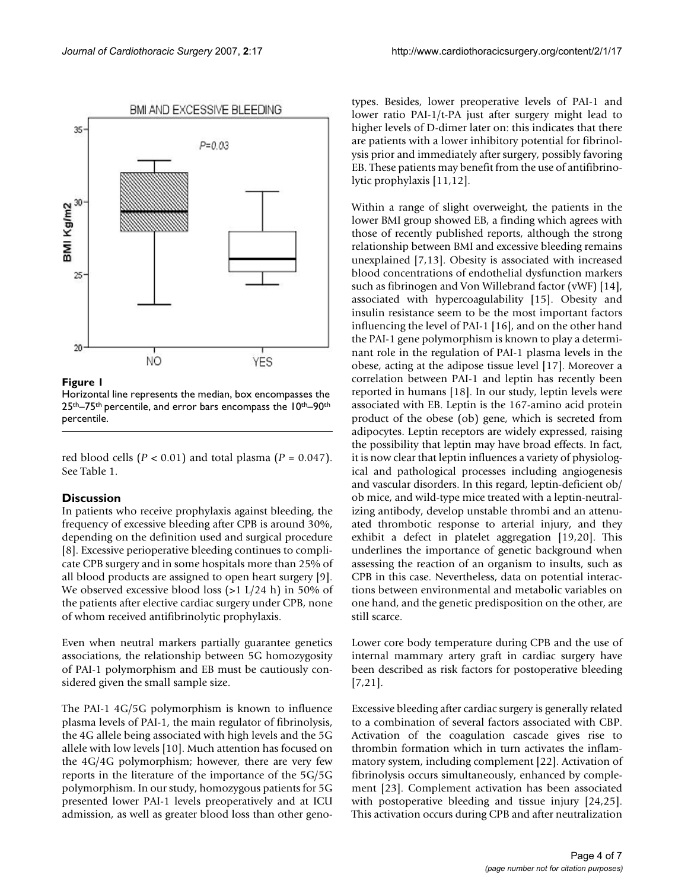

#### Figure 1

Horizontal line represents the median, box encompasses the 25th–75th percentile, and error bars encompass the 10th–90th percentile.

red blood cells  $(P < 0.01)$  and total plasma  $(P = 0.047)$ . See Table 1.

# **Discussion**

In patients who receive prophylaxis against bleeding, the frequency of excessive bleeding after CPB is around 30%, depending on the definition used and surgical procedure [8]. Excessive perioperative bleeding continues to complicate CPB surgery and in some hospitals more than 25% of all blood products are assigned to open heart surgery [9]. We observed excessive blood loss (>1 L/24 h) in 50% of the patients after elective cardiac surgery under CPB, none of whom received antifibrinolytic prophylaxis.

Even when neutral markers partially guarantee genetics associations, the relationship between 5G homozygosity of PAI-1 polymorphism and EB must be cautiously considered given the small sample size.

The PAI-1 4G/5G polymorphism is known to influence plasma levels of PAI-1, the main regulator of fibrinolysis, the 4G allele being associated with high levels and the 5G allele with low levels [10]. Much attention has focused on the 4G/4G polymorphism; however, there are very few reports in the literature of the importance of the 5G/5G polymorphism. In our study, homozygous patients for 5G presented lower PAI-1 levels preoperatively and at ICU admission, as well as greater blood loss than other genotypes. Besides, lower preoperative levels of PAI-1 and lower ratio PAI-1/t-PA just after surgery might lead to higher levels of D-dimer later on: this indicates that there are patients with a lower inhibitory potential for fibrinolysis prior and immediately after surgery, possibly favoring EB. These patients may benefit from the use of antifibrinolytic prophylaxis [11,12].

Within a range of slight overweight, the patients in the lower BMI group showed EB, a finding which agrees with those of recently published reports, although the strong relationship between BMI and excessive bleeding remains unexplained [7,13]. Obesity is associated with increased blood concentrations of endothelial dysfunction markers such as fibrinogen and Von Willebrand factor (vWF) [14], associated with hypercoagulability [15]. Obesity and insulin resistance seem to be the most important factors influencing the level of PAI-1 [16], and on the other hand the PAI-1 gene polymorphism is known to play a determinant role in the regulation of PAI-1 plasma levels in the obese, acting at the adipose tissue level [17]. Moreover a correlation between PAI-1 and leptin has recently been reported in humans [18]. In our study, leptin levels were associated with EB. Leptin is the 167-amino acid protein product of the obese (ob) gene, which is secreted from adipocytes. Leptin receptors are widely expressed, raising the possibility that leptin may have broad effects. In fact, it is now clear that leptin influences a variety of physiological and pathological processes including angiogenesis and vascular disorders. In this regard, leptin-deficient ob/ ob mice, and wild-type mice treated with a leptin-neutralizing antibody, develop unstable thrombi and an attenuated thrombotic response to arterial injury, and they exhibit a defect in platelet aggregation [19,20]. This underlines the importance of genetic background when assessing the reaction of an organism to insults, such as CPB in this case. Nevertheless, data on potential interactions between environmental and metabolic variables on one hand, and the genetic predisposition on the other, are still scarce.

Lower core body temperature during CPB and the use of internal mammary artery graft in cardiac surgery have been described as risk factors for postoperative bleeding [7,21].

Excessive bleeding after cardiac surgery is generally related to a combination of several factors associated with CBP. Activation of the coagulation cascade gives rise to thrombin formation which in turn activates the inflammatory system, including complement [22]. Activation of fibrinolysis occurs simultaneously, enhanced by complement [23]. Complement activation has been associated with postoperative bleeding and tissue injury [24,25]. This activation occurs during CPB and after neutralization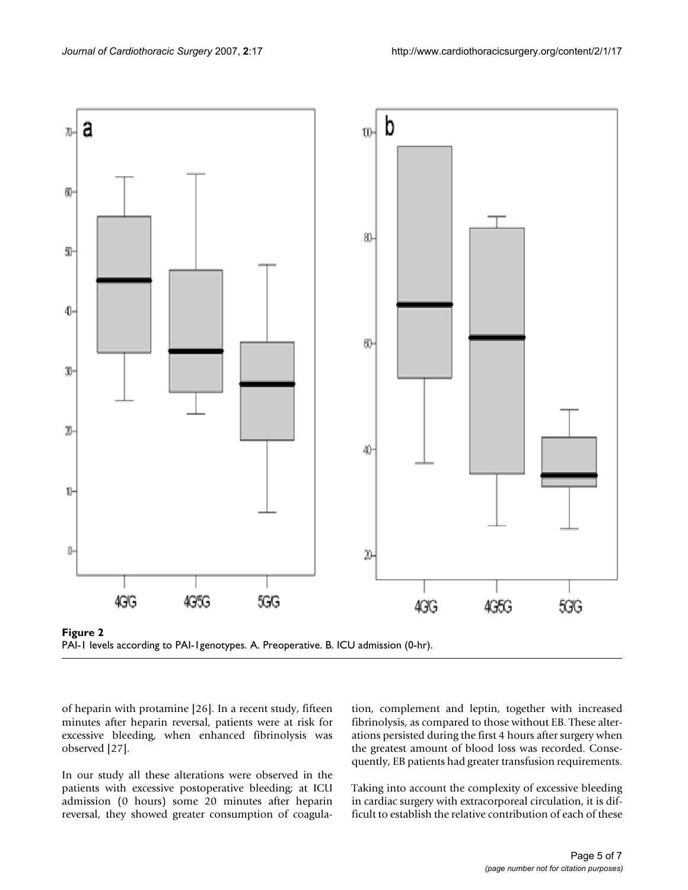

of heparin with protamine [26]. In a recent study, fifteen minutes after heparin reversal, patients were at risk for excessive bleeding, when enhanced fibrinolysis was observed [27].

In our study all these alterations were observed in the patients with excessive postoperative bleeding; at ICU admission (0 hours) some 20 minutes after heparin reversal, they showed greater consumption of coagulation, complement and leptin, together with increased fibrinolysis, as compared to those without EB. These alterations persisted during the first 4 hours after surgery when the greatest amount of blood loss was recorded. Consequently, EB patients had greater transfusion requirements.

Taking into account the complexity of excessive bleeding in cardiac surgery with extracorporeal circulation, it is difficult to establish the relative contribution of each of these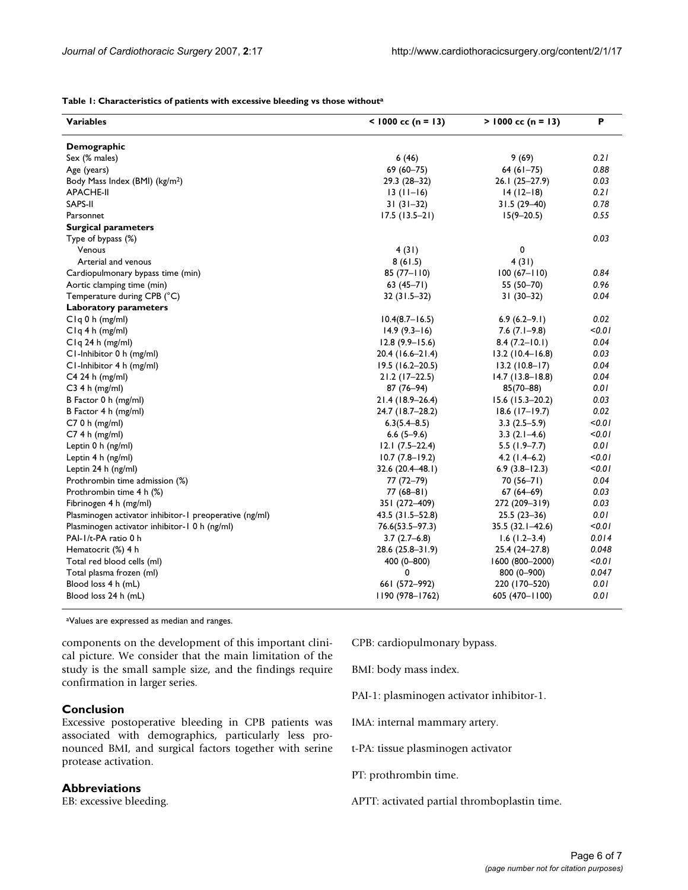#### **Table 1: Characteristics of patients with excessive bleeding vs those withouta**

| <b>Variables</b>                                       | $<$ 1000 cc (n = 13) | $> 1000$ cc (n = 13) | P      |
|--------------------------------------------------------|----------------------|----------------------|--------|
| Demographic                                            |                      |                      |        |
| Sex (% males)                                          | 6(46)                | 9(69)                | 0.21   |
| Age (years)                                            | 69 (60-75)           | $64(61-75)$          | 0.88   |
| Body Mass Index (BMI) (kg/m <sup>2</sup> )             | 29.3 (28-32)         | $26.1(25-27.9)$      | 0.03   |
| <b>APACHE-II</b>                                       | $13(11-16)$          | $14(12-18)$          | 0.21   |
| SAPS-II                                                | $31(31-32)$          | $31.5(29-40)$        | 0.78   |
| Parsonnet                                              | $17.5(13.5-21)$      | $15(9 - 20.5)$       | 0.55   |
| <b>Surgical parameters</b>                             |                      |                      |        |
| Type of bypass (%)                                     |                      |                      | 0.03   |
| Venous                                                 | 4 (31)               | 0                    |        |
| Arterial and venous                                    | 8(61.5)              | 4(31)                |        |
| Cardiopulmonary bypass time (min)                      | $85(77 - 110)$       | $100(67 - 110)$      | 0.84   |
| Aortic clamping time (min)                             | $63(45-71)$          | 55 (50-70)           | 0.96   |
| Temperature during CPB (°C)                            | $32(31.5-32)$        | $31(30-32)$          | 0.04   |
| <b>Laboratory parameters</b>                           |                      |                      |        |
| C <sub>lq</sub> 0 h (mg/ml)                            | $10.4(8.7 - 16.5)$   | $6.9(6.2-9.1)$       | 0.02   |
| $C1q 4h$ (mg/ml)                                       | $14.9(9.3-16)$       | $7.6$ $(7.1-9.8)$    | 0.01   |
| $C1q$ 24 h (mg/ml)                                     | $12.8(9.9 - 15.6)$   | $8.4(7.2 - 10.1)$    | 0.04   |
| C1-Inhibitor 0 h (mg/ml)                               | 20.4 (16.6–21.4)     | $13.2(10.4 - 16.8)$  | 0.03   |
| C1-Inhibitor 4 h (mg/ml)                               | $19.5(16.2-20.5)$    | $13.2(10.8-17)$      | 0.04   |
| C4 24 h (mg/ml)                                        | $21.2(17-22.5)$      | $14.7(13.8 - 18.8)$  | 0.04   |
| $C3$ 4 h (mg/ml)                                       | 87 (76-94)           | $85(70 - 88)$        | 0.01   |
| B Factor 0 h (mg/ml)                                   | $21.4(18.9 - 26.4)$  | $15.6$ (15.3-20.2)   | 0.03   |
| B Factor 4 h (mg/ml)                                   | 24.7 (18.7-28.2)     | $18.6$ (17-19.7)     | 0.02   |
| $C70h$ (mg/ml)                                         | $6.3(5.4 - 8.5)$     | $3.3(2.5-5.9)$       | < 0.01 |
| $C74h$ (mg/ml)                                         | $6.6(5-9.6)$         | $3.3(2.1-4.6)$       | 0.01   |
| Leptin 0 h (ng/ml)                                     | $12.1(7.5-22.4)$     | $5.5$ (1.9-7.7)      | 0.01   |
| Leptin 4 h (ng/ml)                                     | $10.7(7.8-19.2)$     | $4.2$ (1.4–6.2)      | < 0.01 |
| Leptin 24 h (ng/ml)                                    | 32.6 (20.4-48.1)     | $6.9(3.8-12.3)$      | < 0.01 |
| Prothrombin time admission (%)                         | $77(72 - 79)$        | $70(56 - 71)$        | 0.04   |
| Prothrombin time 4 h (%)                               | 77 (68–81)           | $67(64-69)$          | 0.03   |
| Fibrinogen 4 h (mg/ml)                                 | 351 (272-409)        | 272 (209-319)        | 0.03   |
| Plasminogen activator inhibitor-1 preoperative (ng/ml) | 43.5 (31.5-52.8)     | $25.5(23-36)$        | 0.01   |
| Plasminogen activator inhibitor-1 0 h (ng/ml)          | $76.6(53.5 - 97.3)$  | $35.5(32.1 - 42.6)$  | 0.01   |
| PAI-1/t-PA ratio 0 h                                   | $3.7(2.7-6.8)$       | $1.6(1.2 - 3.4)$     | 0.014  |
| Hematocrit (%) 4 h                                     | $28.6(25.8-31.9)$    | $25.4(24-27.8)$      | 0.048  |
| Total red blood cells (ml)                             | 400 (0-800)          | 1600 (800-2000)      | 0.01   |
| Total plasma frozen (ml)                               | 0                    | 800 (0-900)          | 0.047  |
| Blood loss 4 h (mL)                                    | 661 (572-992)        | 220 (170-520)        | 0.01   |
| Blood loss 24 h (mL)                                   | 1190 (978-1762)      | 605 (470-1100)       | 0.01   |

aValues are expressed as median and ranges.

components on the development of this important clinical picture. We consider that the main limitation of the study is the small sample size, and the findings require confirmation in larger series.

#### **Conclusion**

Excessive postoperative bleeding in CPB patients was associated with demographics, particularly less pronounced BMI, and surgical factors together with serine protease activation.

## **Abbreviations**

EB: excessive bleeding.

CPB: cardiopulmonary bypass.

BMI: body mass index.

PAI-1: plasminogen activator inhibitor-1.

IMA: internal mammary artery.

t-PA: tissue plasminogen activator

PT: prothrombin time.

APTT: activated partial thromboplastin time.